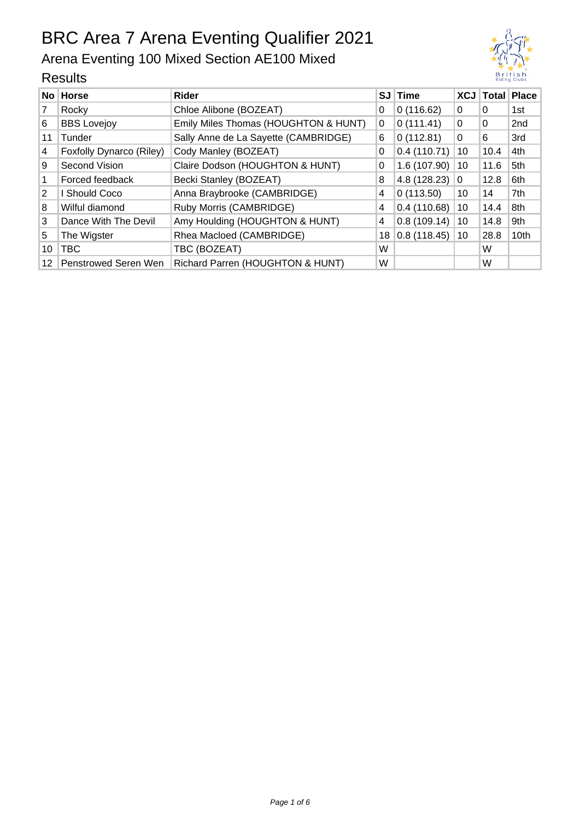### Arena Eventing 100 Mixed Section AE100 Mixed





12 Penstrowed Seren Wen Richard Parren (HOUGHTON & HUNT) W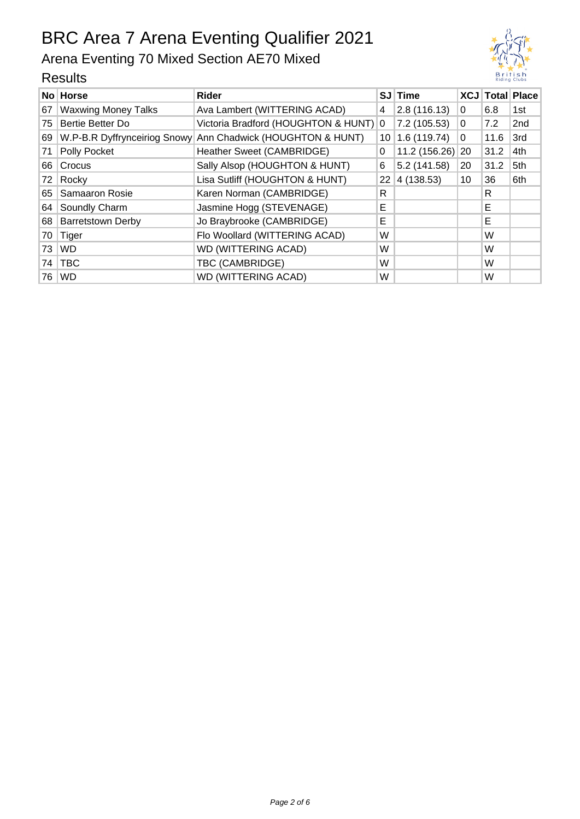## Arena Eventing 70 Mixed Section AE70 Mixed

|    | No Horse                   | Rider                                                       |    | SJ Time          |          |      | <b>XCJ Total Place</b> |
|----|----------------------------|-------------------------------------------------------------|----|------------------|----------|------|------------------------|
| 67 | <b>Waxwing Money Talks</b> | Ava Lambert (WITTERING ACAD)                                | 4  | 2.8(116.13)      | 0        | 6.8  | 1st                    |
| 75 | Bertie Better Do           | Victoria Bradford (HOUGHTON & HUNT) 0                       |    | 7.2 (105.53)     | 0        | 7.2  | 2 <sub>nd</sub>        |
| 69 |                            | W.P-B.R Dyffrynceiriog Snowy Ann Chadwick (HOUGHTON & HUNT) | 10 | 1.6(119.74)      | $\Omega$ | 11.6 | 3rd                    |
| 71 | Polly Pocket               | Heather Sweet (CAMBRIDGE)                                   | 0  | 11.2 (156.26) 20 |          | 31.2 | 4th                    |
| 66 | Crocus                     | Sally Alsop (HOUGHTON & HUNT)                               | 6  | 5.2 (141.58)     | 20       | 31.2 | 5th                    |
| 72 | Rocky                      | Lisa Sutliff (HOUGHTON & HUNT)                              | 22 | 4(138.53)        | 10       | 36   | 6th                    |
|    | 65   Samaaron Rosie        | Karen Norman (CAMBRIDGE)                                    | R  |                  |          | R    |                        |
| 64 | Soundly Charm              | Jasmine Hogg (STEVENAGE)                                    | Е  |                  |          | Е    |                        |
|    | 68 Barretstown Derby       | Jo Braybrooke (CAMBRIDGE)                                   | Е  |                  |          | E    |                        |
| 70 | Tiger                      | Flo Woollard (WITTERING ACAD)                               | W  |                  |          | W    |                        |
| 73 | <b>WD</b>                  | <b>WD (WITTERING ACAD)</b>                                  | W  |                  |          | W    |                        |
| 74 | <b>TBC</b>                 | TBC (CAMBRIDGE)                                             | W  |                  |          | W    |                        |
|    | 76 WD                      | <b>WD (WITTERING ACAD)</b>                                  | W  |                  |          | W    |                        |

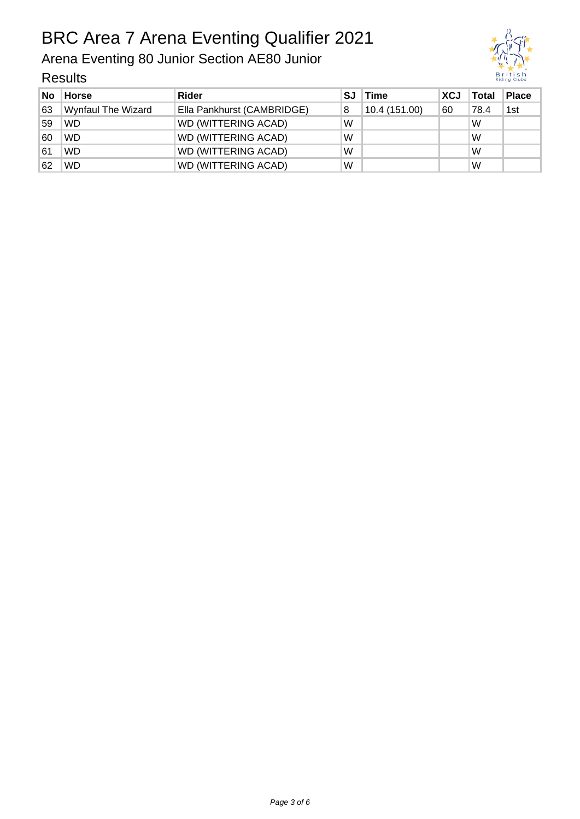# BRC Area 7 Arena Eventing Qualifier 2021

Arena Eventing 80 Junior Section AE80 Junior



| No | <b>Horse</b>              | <b>Rider</b>               | SJ | <b>Time</b>   | <b>XCJ</b> | Total | <b>Place</b> |
|----|---------------------------|----------------------------|----|---------------|------------|-------|--------------|
| 63 | <b>Wynfaul The Wizard</b> | Ella Pankhurst (CAMBRIDGE) | 8  | 10.4 (151.00) | 60         | 78.4  | 1st          |
| 59 | <b>WD</b>                 | <b>WD (WITTERING ACAD)</b> | W  |               |            | W     |              |
| 60 | <b>WD</b>                 | WD (WITTERING ACAD)        | W  |               |            | W     |              |
| 61 | <b>WD</b>                 | WD (WITTERING ACAD)        | W  |               |            | W     |              |
| 62 | <b>WD</b>                 | WD (WITTERING ACAD)        | W  |               |            | W     |              |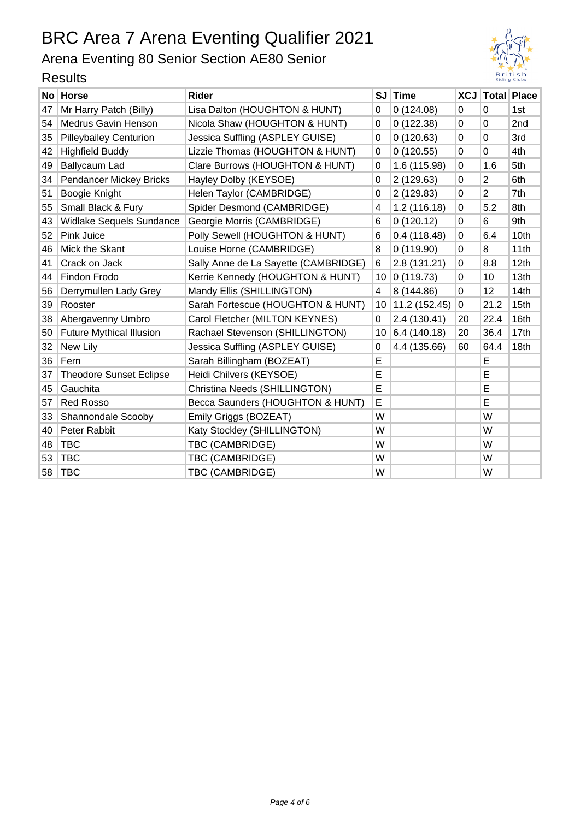## Arena Eventing 80 Senior Section AE80 Senior



|    | י <i>י</i> טעונט                |                                      |           |               |    |                |                        |  |
|----|---------------------------------|--------------------------------------|-----------|---------------|----|----------------|------------------------|--|
|    | No Horse                        | <b>Rider</b>                         | <b>SJ</b> | <b>Time</b>   |    |                | <b>XCJ Total Place</b> |  |
| 47 | Mr Harry Patch (Billy)          | Lisa Dalton (HOUGHTON & HUNT)        | 0         | 0(124.08)     | 0  | 0              | 1st                    |  |
| 54 | <b>Medrus Gavin Henson</b>      | Nicola Shaw (HOUGHTON & HUNT)        | 0         | 0(122.38)     | 0  | 0              | 2nd                    |  |
| 35 | <b>Pilleybailey Centurion</b>   | Jessica Suffling (ASPLEY GUISE)      | 0         | 0(120.63)     | 0  | 0              | 3rd                    |  |
| 42 | <b>Highfield Buddy</b>          | Lizzie Thomas (HOUGHTON & HUNT)      | 0         | 0(120.55)     | 0  | 0              | 4th                    |  |
| 49 | Ballycaum Lad                   | Clare Burrows (HOUGHTON & HUNT)      | 0         | 1.6 (115.98)  | 0  | 1.6            | 5th                    |  |
| 34 | Pendancer Mickey Bricks         | Hayley Dolby (KEYSOE)                | 0         | 2 (129.63)    | 0  | $\overline{2}$ | 6th                    |  |
| 51 | Boogie Knight                   | Helen Taylor (CAMBRIDGE)             | 0         | 2 (129.83)    | 0  | $\overline{2}$ | 7th                    |  |
| 55 | Small Black & Fury              | Spider Desmond (CAMBRIDGE)           | 4         | 1.2(116.18)   | 0  | 5.2            | 8th                    |  |
| 43 | Widlake Sequels Sundance        | Georgie Morris (CAMBRIDGE)           | 6         | 0(120.12)     | 0  | 6              | 9th                    |  |
| 52 | Pink Juice                      | Polly Sewell (HOUGHTON & HUNT)       | 6         | 0.4(118.48)   | 0  | 6.4            | 10th                   |  |
| 46 | Mick the Skant                  | Louise Horne (CAMBRIDGE)             | 8         | 0(119.90)     | 0  | 8              | 11th                   |  |
| 41 | Crack on Jack                   | Sally Anne de La Sayette (CAMBRIDGE) | 6         | 2.8 (131.21)  | 0  | 8.8            | 12th                   |  |
| 44 | Findon Frodo                    | Kerrie Kennedy (HOUGHTON & HUNT)     | 10        | 0(119.73)     | 0  | 10             | 13th                   |  |
| 56 | Derrymullen Lady Grey           | Mandy Ellis (SHILLINGTON)            | 4         | 8 (144.86)    | 0  | 12             | 14 <sub>th</sub>       |  |
| 39 | Rooster                         | Sarah Fortescue (HOUGHTON & HUNT)    | 10        | 11.2 (152.45) | 0  | 21.2           | 15th                   |  |
| 38 | Abergavenny Umbro               | Carol Fletcher (MILTON KEYNES)       | 0         | 2.4 (130.41)  | 20 | 22.4           | 16th                   |  |
| 50 | <b>Future Mythical Illusion</b> | Rachael Stevenson (SHILLINGTON)      | 10        | 6.4 (140.18)  | 20 | 36.4           | 17th                   |  |
| 32 | New Lily                        | Jessica Suffling (ASPLEY GUISE)      | 0         | 4.4 (135.66)  | 60 | 64.4           | 18th                   |  |
| 36 | Fern                            | Sarah Billingham (BOZEAT)            | E         |               |    | E              |                        |  |
| 37 | <b>Theodore Sunset Eclipse</b>  | Heidi Chilvers (KEYSOE)              | E         |               |    | E              |                        |  |
| 45 | Gauchita                        | Christina Needs (SHILLINGTON)        | E         |               |    | E              |                        |  |
| 57 | <b>Red Rosso</b>                | Becca Saunders (HOUGHTON & HUNT)     | E         |               |    | E              |                        |  |
| 33 | Shannondale Scooby              | Emily Griggs (BOZEAT)                | W         |               |    | W              |                        |  |
| 40 | Peter Rabbit                    | Katy Stockley (SHILLINGTON)          | W         |               |    | W              |                        |  |
| 48 | <b>TBC</b>                      | TBC (CAMBRIDGE)                      | W         |               |    | W              |                        |  |
| 53 | <b>TBC</b>                      | TBC (CAMBRIDGE)                      | W         |               |    | W              |                        |  |
| 58 | <b>TBC</b>                      | TBC (CAMBRIDGE)                      | W         |               |    | W              |                        |  |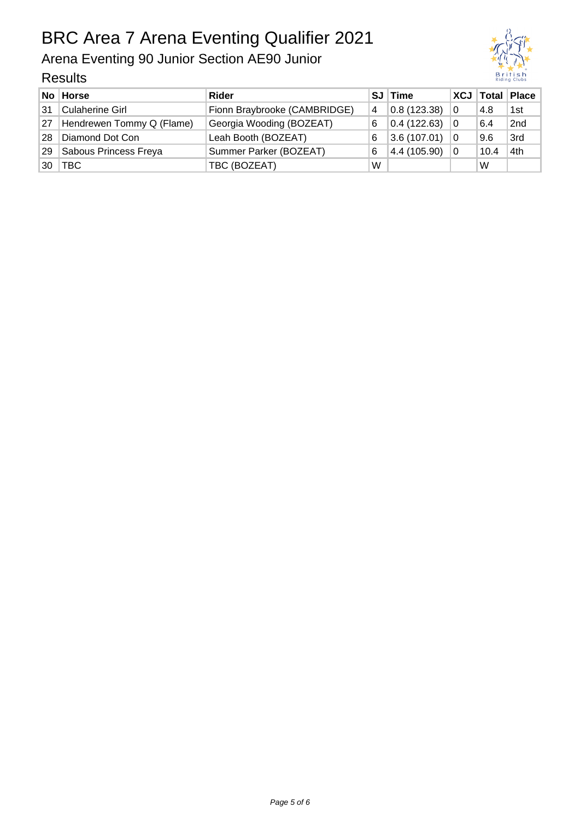# BRC Area 7 Arena Eventing Qualifier 2021

Arena Eventing 90 Junior Section AE90 Junior

| British<br><b>Riding Clubs</b> |
|--------------------------------|

|    | No Horse                  | <b>Rider</b>                 |   | SJ Time      |                |      | XCJ   Total   Place |
|----|---------------------------|------------------------------|---|--------------|----------------|------|---------------------|
| 31 | <b>Culaherine Girl</b>    | Fionn Braybrooke (CAMBRIDGE) | 4 | 0.8(123.38)  | $\overline{0}$ | 4.8  | 1st                 |
| 27 | Hendrewen Tommy Q (Flame) | Georgia Wooding (BOZEAT)     | 6 | 0.4(122.63)  | 0              | 6.4  | 2nd                 |
| 28 | Diamond Dot Con           | Leah Booth (BOZEAT)          | 6 | 3.6(107.01)  | 0              | 9.6  | 3rd                 |
| 29 | Sabous Princess Freya     | Summer Parker (BOZEAT)       | 6 | 4.4 (105.90) | 0              | 10.4 | 4th                 |
| 30 | <b>TBC</b>                | TBC (BOZEAT)                 | W |              |                | W    |                     |